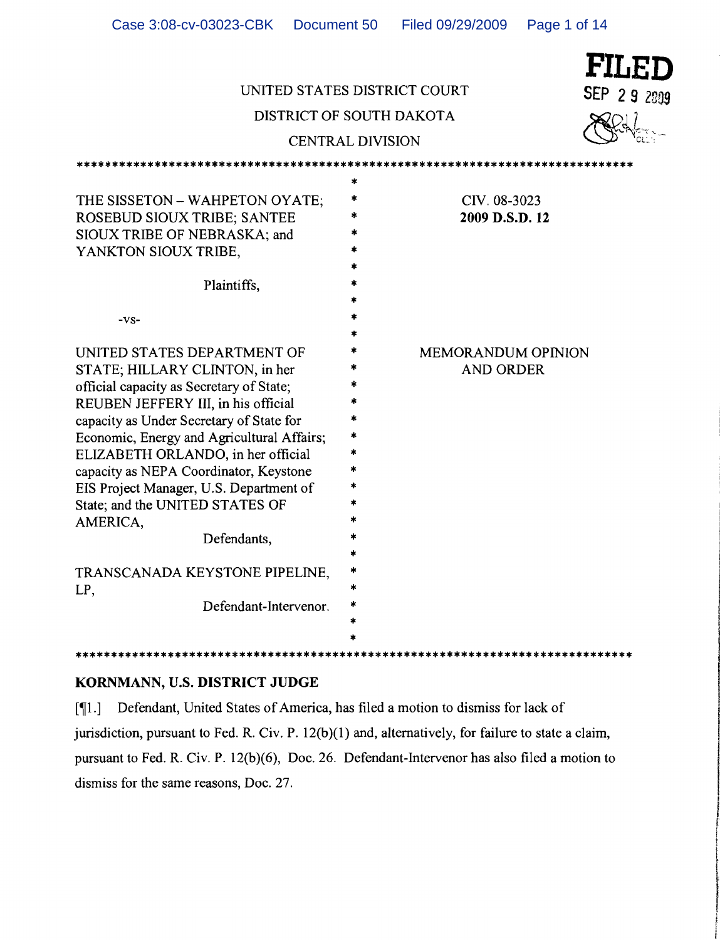| UNITED STATES DISTRICT COURT<br>DISTRICT OF SOUTH DAKOTA                                                                                                                                                                                                                                                                                                                                                                            | <b>CENTRAL DIVISION</b> |                                               | FILED<br>SEP 29 2009 |
|-------------------------------------------------------------------------------------------------------------------------------------------------------------------------------------------------------------------------------------------------------------------------------------------------------------------------------------------------------------------------------------------------------------------------------------|-------------------------|-----------------------------------------------|----------------------|
| THE SISSETON - WAHPETON OYATE;<br>ROSEBUD SIOUX TRIBE; SANTEE<br>SIOUX TRIBE OF NEBRASKA; and<br>YANKTON SIOUX TRIBE,<br>Plaintiffs,<br>$-VS-$                                                                                                                                                                                                                                                                                      | $\ast$<br>*             | CIV. 08-3023<br>2009 D.S.D. 12                |                      |
| UNITED STATES DEPARTMENT OF<br>STATE; HILLARY CLINTON, in her<br>official capacity as Secretary of State;<br>REUBEN JEFFERY III, in his official<br>capacity as Under Secretary of State for<br>Economic, Energy and Agricultural Affairs;<br>ELIZABETH ORLANDO, in her official<br>capacity as NEPA Coordinator, Keystone<br>EIS Project Manager, U.S. Department of<br>State; and the UNITED STATES OF<br>AMERICA,<br>Defendants, | *<br>4<br>*<br>*        | <b>MEMORANDUM OPINION</b><br><b>AND ORDER</b> |                      |
| TRANSCANADA KEYSTONE PIPELINE,<br>LP,<br>Defendant-Intervenor.                                                                                                                                                                                                                                                                                                                                                                      |                         |                                               |                      |

Case 3:08-cv-03023-CBK Document 50 Filed 09/29/2009 Page 1 of 14

## KORNMANN, U.S. DISTRICT JUDGE

[¶1.] Defendant, United States of America, has filed a motion to dismiss for lack of jurisdiction, pursuant to Fed. R. Civ. P. 12(b)(1) and, alternatively, for failure to state a claim, pursuant to Fed. R. Civ. P. 12(b)(6), Doc. 26. Defendant-Intervenor has also filed a motion to dismiss for the same reasons, Doc. 27. In the same reasons, Doc. 27.

.<br>|<br>|

al de la companya de la companya de la companya de la companya de la companya de la companya de la

**John Company** !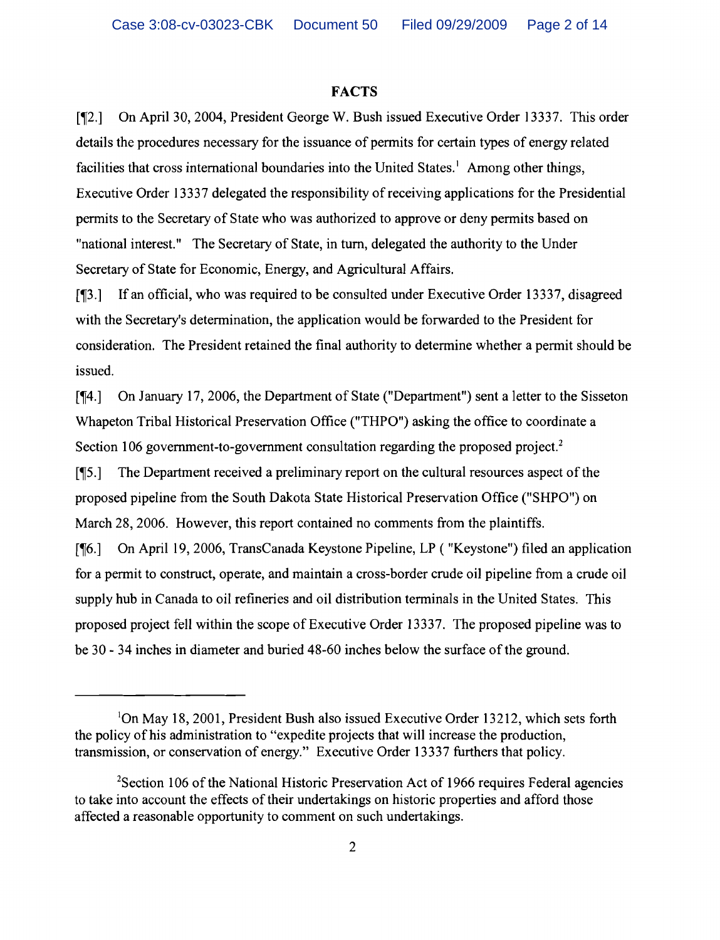#### **FACTS**

[¶2.] On April 30, 2004, President George W. Bush issued Executive Order 13337. This order details the procedures necessary for the issuance of permits for certain types of energy related facilities that cross international boundaries into the United States.<sup>1</sup> Among other things, Executive Order 13337 delegated the responsibility of receiving applications for the Presidential permits to the Secretary of State who was authorized to approve or deny permits based on "national interest." The Secretary of State, in tum, delegated the authority to the Under Secretary of State for Economic, Energy, and Agricultural Affairs.

[13.] If an official, who was required to be consulted under Executive Order 13337, disagreed with the Secretary's determination, the application would be forwarded to the President for consideration. The President retained the final authority to determine whether a permit should be issued.

[ $[4.]$  On January 17, 2006, the Department of State ("Department") sent a letter to the Sisseton Whapeton Tribal Historical Preservation Office ("THPO") asking the office to coordinate a Section 106 government-to-government consultation regarding the proposed project.<sup>2</sup>  $\lceil \P 5 \rceil$  The Department received a preliminary report on the cultural resources aspect of the proposed pipeline from the South Dakota State Historical Preservation Office ("SHPO") on March 28, 2006. However, this report contained no comments from the plaintiffs. [¶6.] On April 19, 2006, TransCanada Keystone Pipeline, LP ( "Keystone") filed an application for a permit to construct, operate, and maintain a cross-border crude oil pipeline from a crude oil supply hub in Canada to oil refineries and oil distribution terminals in the United States. This proposed project fell within the scope of Executive Order 13337. The proposed pipeline was to be 30 - 34 inches in diameter and buried 48-60 inches below the surface of the ground.

<sup>&</sup>lt;sup>1</sup>On May 18, 2001, President Bush also issued Executive Order 13212, which sets forth the policy of his administration to "expedite projects that will increase the production, transmission, or conservation of energy." Executive Order 13337 furthers that policy.

 $2$ Section 106 of the National Historic Preservation Act of 1966 requires Federal agencies to take into account the effects of their undertakings on historic properties and afford those affected a reasonable opportunity to comment on such undertakings.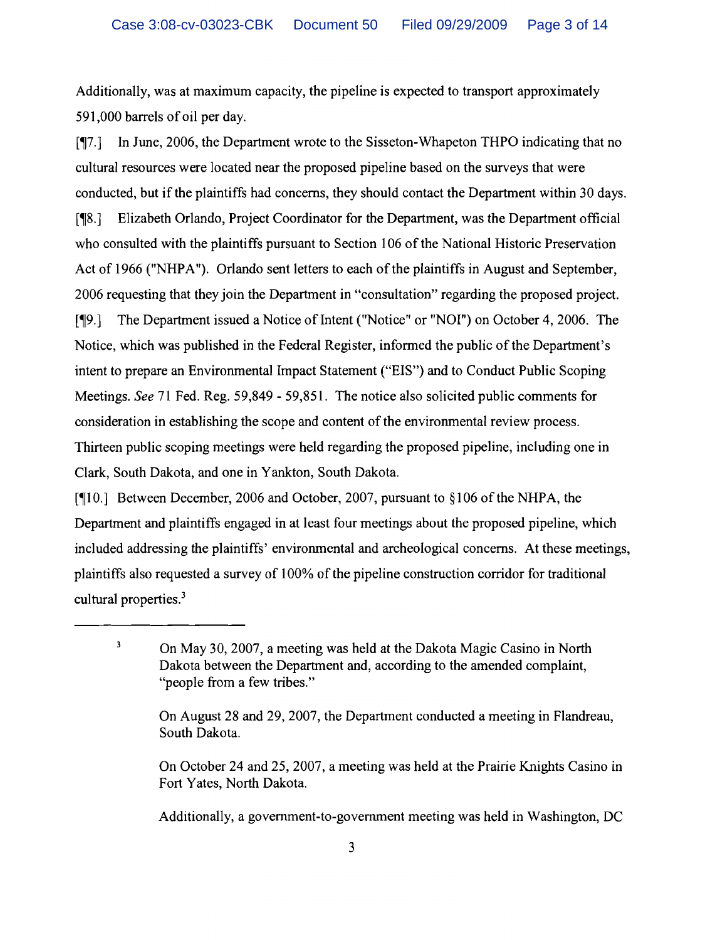Additionally, was at maximum capacity, the pipeline is expected to transport approximately 591,000 barrels of oil per day.

[~7.] In June, 2006, the Department wrote to the Sisseton-Whapeton THPO indicating that no cultural resources were located near the proposed pipeline based on the surveys that were conducted, but if the plaintiffs had concerns, they should contact the Department within 30 days. [~8.] Elizabeth Orlando, Project Coordinator for the Department, was the Department official who consulted with the plaintiffs pursuant to Section 106 of the National Historic Preservation Act of 1966 ("NHPA"). Orlando sent letters to each of the plaintiffs in August and September, 2006 requesting that they join the Department in "consultation" regarding the proposed project. [19.] The Department issued a Notice of Intent ("Notice" or "NOI") on October 4, 2006. The Notice, which was published in the Federal Register, informed the public of the Department's intent to prepare an Environmental Impact Statement ("EIS") and to Conduct Public Scoping Meetings. *See* 71 Fed. Reg. 59,849 - 59,851. The notice also solicited public comments for consideration in establishing the scope and content of the environmental review process. Thirteen public scoping meetings were held regarding the proposed pipeline, including one in Clark, South Dakota, and one in Yankton, South Dakota.

[¶10.] Between December, 2006 and October, 2007, pursuant to §106 of the NHPA, the Department and plaintiffs engaged in at least four meetings about the proposed pipeline, which included addressing the plaintiffs' environmental and archeological concerns. At these meetings, plaintiffs also requested a survey of 100% of the pipeline construction corridor for traditional cultural properties.<sup>3</sup>

Additionally, a government-to-government meeting was held in Washington, DC

<sup>&</sup>lt;sup>3</sup> On May 30, 2007, a meeting was held at the Dakota Magic Casino in North Dakota between the Department and, according to the amended complaint, "people from a few tribes."

On August 28 and 29, 2007, the Department conducted a meeting in Flandreau, South Dakota.

On October 24 and 25, 2007, a meeting was held at the Prairie Knights Casino in Fort Yates, North Dakota.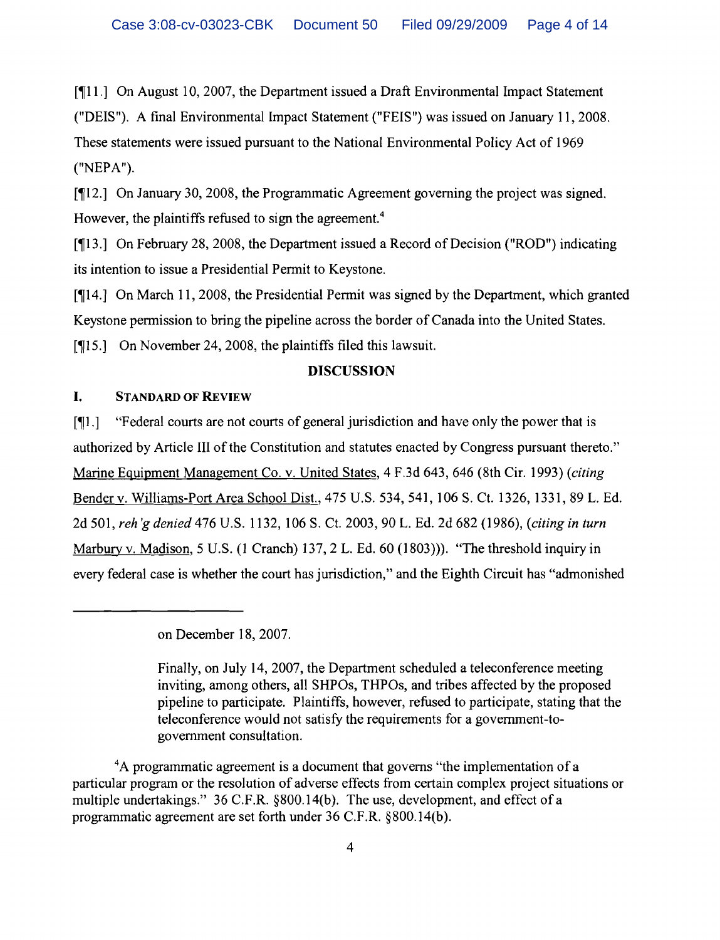[ $\P$ 11.] On August 10, 2007, the Department issued a Draft Environmental Impact Statement ("DEIS"). A final Environmental Impact Statement ("FEIS") was issued on January 11,2008. These statements were issued pursuant to the National Environmental Policy Act of 1969 ("NEPA").

[ $\P$ 12.] On January 30, 2008, the Programmatic Agreement governing the project was signed. However, the plaintiffs refused to sign the agreement.<sup>4</sup>

[13.] On February 28, 2008, the Department issued a Record of Decision ("ROD") indicating its intention to issue a Presidential Permit to Keystone.

[~14.] On March 11,2008, the Presidential Permit was signed by the Department, which granted Keystone permission to bring the pipeline across the border of Canada into the United States.

[¶15.] On November 24, 2008, the plaintiffs filed this lawsuit.

## DISCUSSION

# I. STANDARD OF REVIEW

[~1.] "Federal courts are not courts of general jurisdiction and have only the power that is authorized by Article III of the Constitution and statutes enacted by Congress pursuant thereto." Marine Equipment Management Co. v. United States, 4 F.3d 643,646 (8th Cir. 1993) *(citing*  Bender v. Williams-Port Area School Dist., 475 U.S. 534, 541, 106 S. Ct. 1326, 1331, 89 L. Ed. 2d 501, *reh 'gdenied* 476 U.S. 1132, 106 S. Ct. 2003, 90 L. Ed. 2d 682 (1986), *(citing in turn*  Marbury v. Madison, 5 U.S. (1 Cranch) 137, 2 L. Ed. 60 (1803)). "The threshold inquiry in every federal case is whether the court has jurisdiction," and the Eighth Circuit has "admonished

on December 18, 2007.

Finally, on July 14, 2007, the Department scheduled a teleconference meeting inviting, among others, all SHPOs, THPOs, and tribes affected by the proposed pipeline to participate. Plaintiffs, however, refused to participate, stating that the teleconference would not satisfy the requirements for a government-togovernment consultation.

<sup>4</sup>A programmatic agreement is a document that governs "the implementation of a particular program or the resolution of adverse effects from certain complex project situations or multiple undertakings." 36 C.F.R. §800.14(b). The use, development, and effect of a programmatic agreement are set forth under 36 C.F.R. §800.14(b).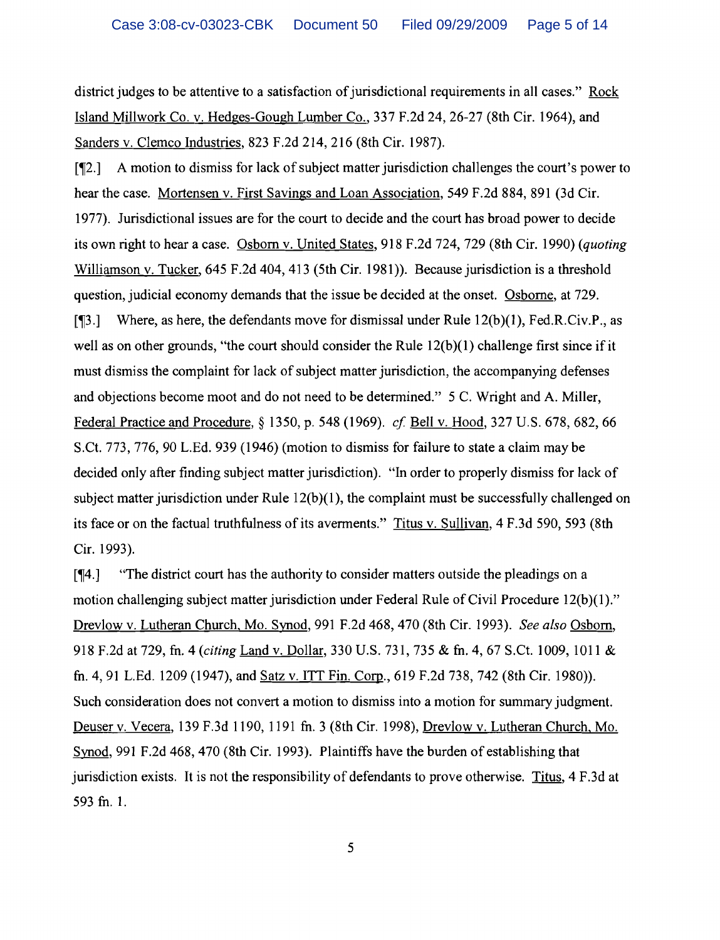district judges to be attentive to a satisfaction of jurisdictional requirements in all cases." Rock Island Millwork Co. v. Hedges-Gough Lumber Co., 337 F.2d 24,26-27 (8th Cir. 1964), and Sanders v. Clemco Industries, 823 F.2d 214, 216 (8th Cir. 1987).

 $\lceil \frac{m}{2} \rceil$  A motion to dismiss for lack of subject matter jurisdiction challenges the court's power to hear the case. Mortensen v. First Savings and Loan Association, 549 F.2d 884, 891 (3d Cir. 1977). Jurisdictional issues are for the court to decide and the court has broad power to decide its own right to hear a case. Osborn v. United States, 918 F.2d 724, 729 (8th Cir. 1990) *(quoting*  Williamson v. Tucker, 645 F.2d 404, 413 (5th Cir. 1981)). Because jurisdiction is a threshold question, judicial economy demands that the issue be decided at the onset. Osborne, at 729. [ $\P$ 3.] Where, as here, the defendants move for dismissal under Rule 12(b)(1), Fed.R.Civ.P., as well as on other grounds, "the court should consider the Rule  $12(b)(1)$  challenge first since if it must dismiss the complaint for lack of subject matter jurisdiction, the accompanying defenses and objections become moot and do not need to be determined." 5 C. Wright and A. Miller, Federal Practice and Procedure, § 1350, p. 548 (1969). *cf* Bell v. Hood, 327 U.S. 678, 682, 66 S.Ct. 773, 776, 90 L.Ed. 939 (1946) (motion to dismiss for failure to state a claim may be decided only after finding subject matter jurisdiction). "In order to properly dismiss for lack of subject matter jurisdiction under Rule  $12(b)(1)$ , the complaint must be successfully challenged on its face or on the factual truthfulness of its averments." Titus v. Sullivan, 4 F.3d 590, 593 (8th Cir. 1993).

[,-r4.] "The district court has the authority to consider matters outside the pleadings on a motion challenging subject matter jurisdiction under Federal Rule of Civil Procedure 12(b)(1)." Drevlow v. Lutheran Church, Mo. Synod, 991 F.2d 468, 470 (8th Cir. 1993). *See also* Osborn, 918 F.2d at 729, fn. 4 *(citing* Land v. Dollar, 330 U.S. 731, 735 & fn. 4, 67 S.Ct. 1009, 1011 & fn. 4, 91 L.Ed. 1209 (1947), and <u>Satz v. ITT Fin. Corp</u>., 619 F.2d 738, 742 (8th Cir. 1980)). Such consideration does not convert a motion to dismiss into a motion for summary judgment. Deuser v. Vecera, 139 F.3d 1190, 1191 fn. 3 (8th Cir. 1998), Drevlow v. Lutheran Church, Mo. Synod, 991 F.2d 468, 470 (8th Cir. 1993). Plaintiffs have the burden of establishing that jurisdiction exists. It is not the responsibility of defendants to prove otherwise. Titus, 4 F.3d at 593 fn. 1.

5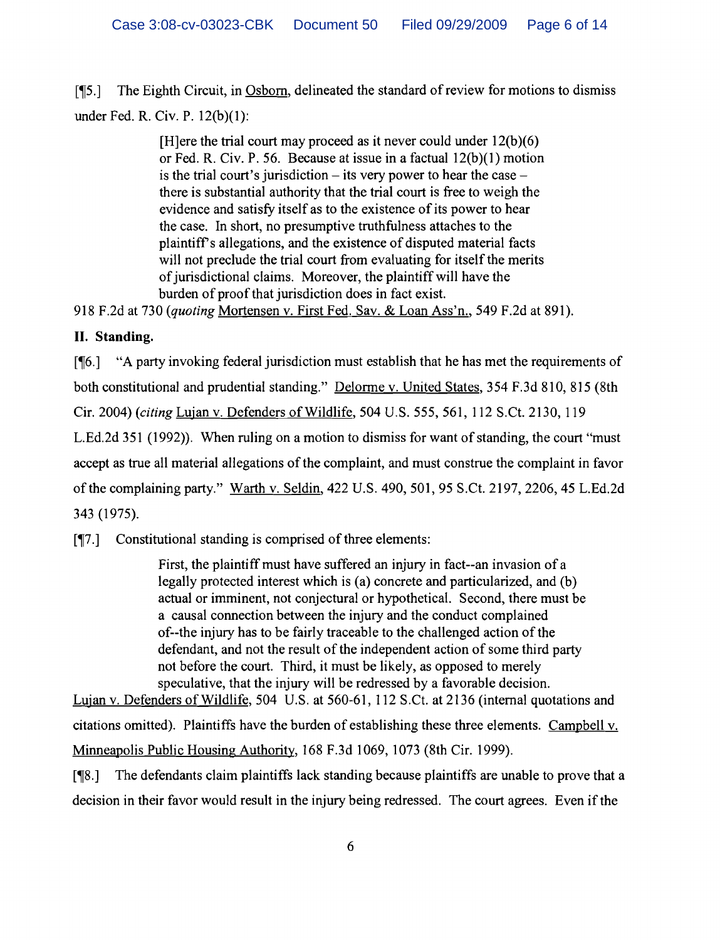[15.] The Eighth Circuit, in Osborn, delineated the standard of review for motions to dismiss under Fed. R. Civ. P. 12(b)(I):

> [H]ere the trial court may proceed as it never could under  $12(b)(6)$ or Fed. R. Civ. P. 56. Because at issue in a factual 12(b)(l) motion is the trial court's jurisdiction  $-$  its very power to hear the case  $$ there is substantial authority that the trial court is free to weigh the evidence and satisfy itself as to the existence of its power to hear the case. In short, no presumptive truthfulness attaches to the plaintiffs allegations, and the existence of disputed material facts will not preclude the trial court from evaluating for itself the merits of jurisdictional claims. Moreover, the plaintiff will have the burden of proof that jurisdiction does in fact exist.

918 F.2d at 730 *(quoting* Mortensen v. First Fed. Sav. & Loan Ass'n., 549 F.2d at 891).

# **II. Standing.**

 $[96.]$  "A party invoking federal jurisdiction must establish that he has met the requirements of both constitutional and prudential standing." Delorme v. United States, 354 F.3d 810, 815 (8th Cir. 2004) *(citing* Lujan v. Defenders of Wildlife, 504 U.S. 555, 561, 112 S.Ct. 2130, 119 L.Ed.2d 351 (1992)). When ruling on a motion to dismiss for want of standing, the court "must" accept as true all material allegations of the complaint, and must construe the complaint in favor of the complaining party." Warth v. Seldin, 422 U.S. 490, 501, 95 S.Ct. 2197, 2206, 45 L.Ed.2d 343 (1975).

 $\lceil \P 7 \rceil$  Constitutional standing is comprised of three elements:

First, the plaintiff must have suffered an injury in fact--an invasion of a legally protected interest which is (a) concrete and particularized, and (b) actual or imminent, not conjectural or hypothetical. Second, there must be a causal connection between the injury and the conduct complained of--the injury has to be fairly traceable to the challenged action of the defendant, and not the result of the independent action of some third party not before the court. Third, it must be likely, as opposed to merely speculative, that the injury will be redressed by a favorable decision.

Lujan v. Defenders of Wildlife, 504 U.S. at 560-61, 112 S.Ct. at 2136 (internal quotations and citations omitted). Plaintiffs have the burden of establishing these three elements. Campbell v. Minneapolis Public Housing Authority, 168 F.3d 1069, 1073 (8th Cir. 1999).

 $[\![\mathcal{R}\!]$ . The defendants claim plaintiffs lack standing because plaintiffs are unable to prove that a decision in their favor would result in the injury being redressed. The court agrees. Even if the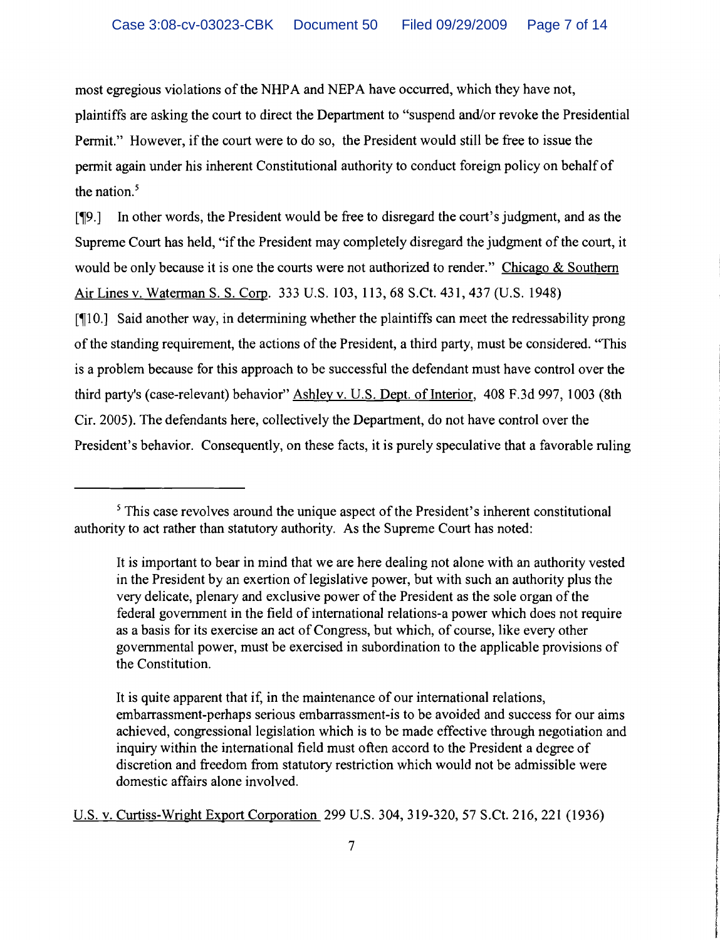most egregious violations of the NHPA and NEPA have occurred, which they have not, plaintiffs are asking the court to direct the Department to "suspend and/or revoke the Presidential Permit." However, if the court were to do so, the President would still be free to issue the permit again under his inherent Constitutional authority to conduct foreign policy on behalf of the nation. $5$ 

[~9.] In other words, the President would be free to disregard the court's judgment, and as the Supreme Court has held, "if the President may completely disregard the judgment of the court, it would be only because it is one the courts were not authorized to render." Chicago & Southern Air Lines v. Waterman S. S. Corp. 333 U.S. 103, 113,68 S.Ct. 431,437 (U.S. 1948)

 $[10.]$  Said another way, in determining whether the plaintiffs can meet the redressability prong of the standing requirement, the actions of the President, a third party, must be considered. "This is a problem because for this approach to be successful the defendant must have control over the third party's (case-relevant) behavior" Ashley v. U.S. Dept. of Interior, 408 F.3d 997, 1003 (8th Cir. 2005). The defendants here, collectively the Department, do not have control over the President's behavior. Consequently, on these facts, it is purely speculative that a favorable ruling

**Independent of the American Service** ; de al material **International** 1 [

I

<sup>&</sup>lt;sup>5</sup> This case revolves around the unique aspect of the President's inherent constitutional authority to act rather than statutory authority. As the Supreme Court has noted:

It is important to bear in mind that we are here dealing not alone with an authority vested in the President by an exertion of legislative power, but with such an authority plus the very delicate, plenary and exclusive power of the President as the sole organ of the federal government in the field of international relations-a power which does not require as a basis for its exercise an act of Congress, but which, of course, like every other governmental power, must be exercised in subordination to the applicable provisions of the Constitution.

It is quite apparent that if, in the maintenance of our international relations, embarrassment-perhaps serious embarrassment-is to be avoided and success for our aims achieved, congressional legislation which is to be made effective through negotiation and inquiry within the international field must often accord to the President a degree of discretion and freedom from statutory restriction which would not be admissible were domestic affairs alone involved.

U.S. v. Curtiss-Wright Export Corporation 299 U.S. 304, 319-320, 57 S.Ct. 216, 221 (1936)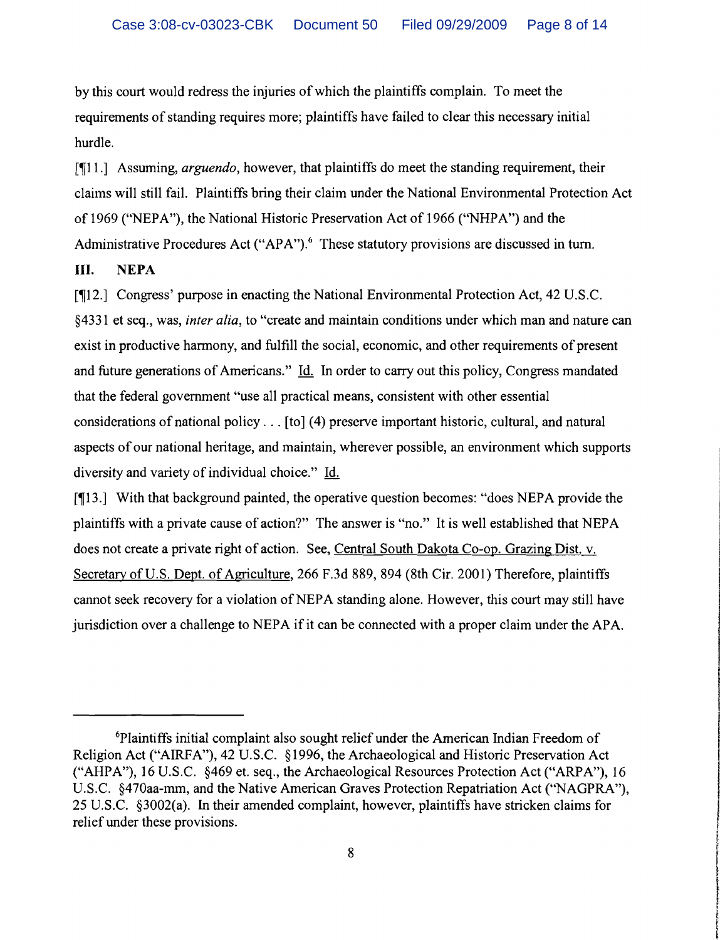by this court would redress the injuries of which the plaintiffs complain. To meet the requirements of standing requires more; plaintiffs have failed to clear this necessary initial hurdle.

[ $[11.]$ ] Assuming, *arguendo*, however, that plaintiffs do meet the standing requirement, their claims will still fail. Plaintiffs bring their claim under the National Environmental Protection Act of 1969 ("NEPA"), the National Historic Preservation Act of 1966 ("NHPA") and the Administrative Procedures Act ("APA").<sup>6</sup> These statutory provisions are discussed in turn.

## **III. NEPA**

[~12.] Congress' purpose in enacting the National Environmental Protection Act, 42 U.S.C. §4331 et seq., was, *inter alia,* to "create and maintain conditions under which man and nature can exist in productive harmony, and fulfill the social, economic, and other requirements of present and future generations of Americans." Id. In order to carry out this policy, Congress mandated that the federal government "use all practical means, consistent with other essential considerations of national policy ... [to] (4) preserve important historic, cultural, and natural aspects of our national heritage, and maintain, wherever possible, an environment which supports diversity and variety of individual choice." Id.

[13.] With that background painted, the operative question becomes: "does NEPA provide the plaintiffs with a private cause of action?" The answer is "no." It is well established that NEPA does not create a private right of action. See, Central South Dakota Co-op. Grazing Dist. v. Secretary of U.S. Dept. of Agriculture, 266 F.3d 889, 894 (8th Cir. 2001) Therefore, plaintiffs cannot seek recovery for a violation of NEPA standing alone. However, this court may still have jurisdiction over a challenge to NEPA if it can be connected with a proper claim under the APA.

<sup>6</sup>Plaintiffs initial complaint also sought relief under the American Indian Freedom of Religion Act ("AIRFA"), 42 U.S.C. §1996, the Archaeological and Historic Preservation Act ("AHPA"), 16 U.S.C. §469 et. seq., the Archaeological Resources Protection Act ("ARPA"), 16 U.S.C. §470aa-mm, and the Native American Graves Protection Repatriation Act ("NAGPRA"), 25 U.S.C. §3002(a). In their amended complaint, however, plaintiffs have stricken claims for relief under these provisions.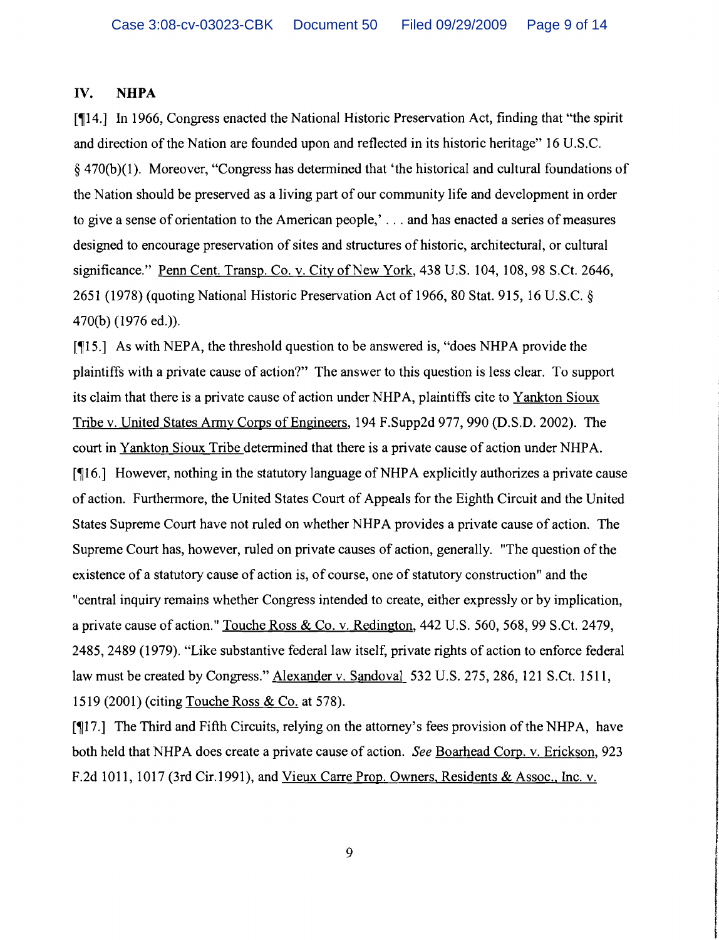### IV. **NHPA**

[~14.] In 1966, Congress enacted the National Historic Preservation Act, finding that "the spirit and direction of the Nation are founded upon and reflected in its historic heritage" 16 U.S.c. § 470(b)(1). Moreover, "Congress has detennined that 'the historical and cultural foundations of the Nation should be preserved as a living part of our community life and development in order to give a sense of orientation to the American people,'... and has enacted a series of measures designed to encourage preservation of sites and structures of historic, architectural, or cultural significance." Penn Cent. Transp. Co. v. City of New York, 438 U.S. 104, 108, 98 S.Ct. 2646, 2651 (1978) (quoting National Historic Preservation Act of 1966,80 Stat. 915, 16 U.S.C. § 470(b) (1976 ed.)).

[15.] As with NEPA, the threshold question to be answered is, "does NHPA provide the plaintiffs with a private cause of action?" The answer to this question is less clear. To support its claim that there is a private cause of action under NHPA, plaintiffs cite to Yankton Sioux Tribe v. United States Anny Corps of Engineers, 194 F.Supp2d 977, 990 (D.S.D. 2002). The court in Yankton Sioux Tribe determined that there is a private cause of action under NHPA. [~16.] However, nothing in the statutory language of NHPA explicitly authorizes a private cause of action. Furthennore, the United States Court of Appeals for the Eighth Circuit and the United States Supreme Court have not ruled on whether NHPA provides a private cause of action. The Supreme Court has, however, ruled on private causes of action, generally. "The question of the existence of a statutory cause of action is, of course, one of statutory construction" and the "central inquiry remains whether Congress intended to create, either expressly or by implication, a private cause of action." Touche Ross & Co. v. Redington, 442 U.S. 560, 568, 99 S.Ct. 2479, 2485, 2489 (1979). "Like substantive federal law itself, private rights of action to enforce federal law must be created by Congress." Alexander v. Sandoval 532 U.S. 275, 286, 121 S.Ct. 1511, 1519 (2001) (citing Touche Ross & Co. at 578).

[17.] The Third and Fifth Circuits, relying on the attorney's fees provision of the NHPA, have both held that NHPA does create a private cause of action. *See* Boarhead Corp. v. Erickson, 923 F.2d 1011, 1017 (3rd Cir.1991), and Vieux Carre Prop. Owners, Residents & Assoc., Inc. v.

 $9$ 

**International Contract Contract of the United States** 

! i<br>Pilipinan

Intelligentemporal of the constant and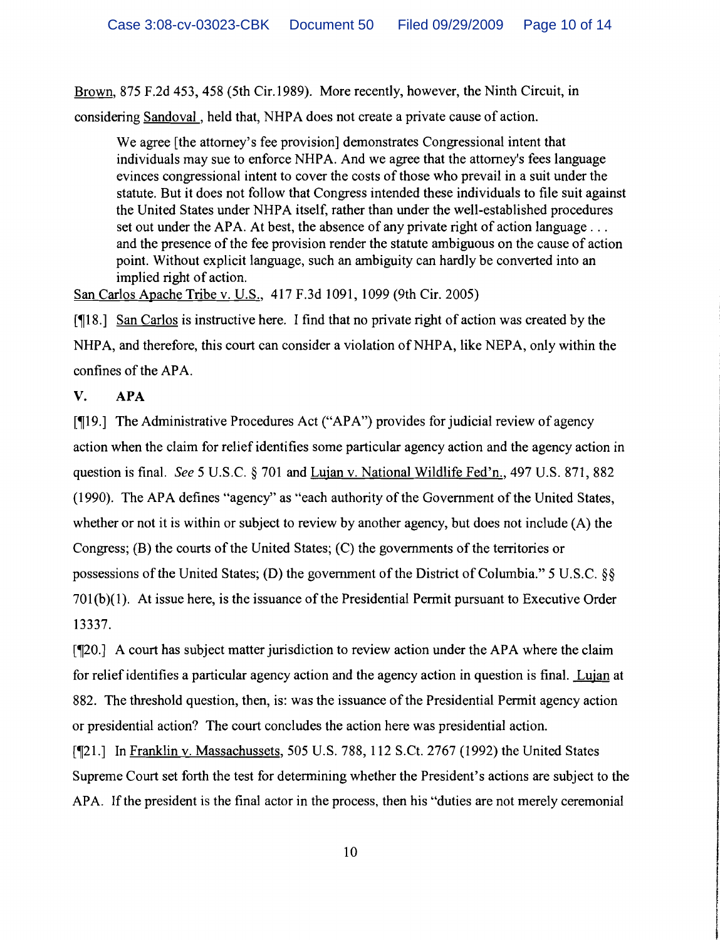Brown, 875 F.2d 453,458 (5th Cir.1989). More recently, however, the Ninth Circuit, in considering Sandoval, held that, NHPA does not create a private cause of action.

We agree [the attorney's fee provision] demonstrates Congressional intent that individuals may sue to enforce NHPA. And we agree that the attorney's fees language evinces congressional intent to cover the costs of those who prevail in a suit under the statute. But it does not follow that Congress intended these individuals to file suit against the United States under NHPA itself, rather than under the well-established procedures set out under the APA. At best, the absence of any private right of action language ... and the presence of the fee provision render the statute ambiguous on the cause of action point. Without explicit language, such an ambiguity can hardly be converted into an implied right of action.

San Carlos Apache Tribe v. U.S., 417 F.3d 1091, 1099 (9th Cir. 2005)

[¶18.] San Carlos is instructive here. I find that no private right of action was created by the NHPA, and therefore, this court can consider a violation of NHPA, like NEPA, only within the confines of the APA.

# V. APA

 $\lceil \P{19.} \rceil$  The Administrative Procedures Act ("APA") provides for judicial review of agency action when the claim for relief identifies some particular agency action and the agency action in question is final. See 5 U.S.C. § 701 and Lujan v. National Wildlife Fed'n., 497 U.S. 871, 882 (1990). The APA defines "agency" as "each authority of the Government of the United States, whether or not it is within or subject to review by another agency, but does not include (A) the Congress;  $(B)$  the courts of the United States;  $(C)$  the governments of the territories or possessions of the United States; (D) the government of the District of Columbia." 5 U.S.C.  $\&$ 701 (b)(1). At issue here, is the issuance of the Presidential Permit pursuant to Executive Order 13337.

[¶20.] A court has subject matter jurisdiction to review action under the APA where the claim for relief identifies a particular agency action and the agency action in question is final. Lujan at 882. The threshold question, then, is: was the issuance of the Presidential Permit agency action or presidential action? The court concludes the action here was presidential action.

[¶21.] In Franklin y. Massachussets, 505 U.S. 788, 112 S.Ct. 2767 (1992) the United States Supreme Court set forth the test for determining whether the President's actions are subject to the APA. If the president is the final actor in the process, then his "duties are not merely ceremonial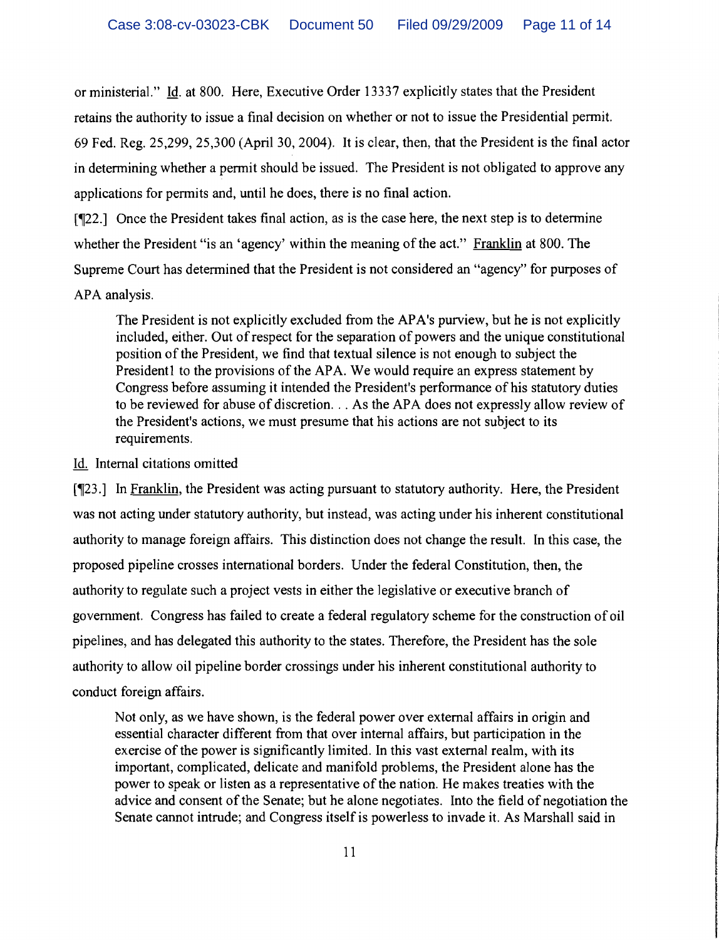or ministerial." Id. at 800. Here, Executive Order 13337 explicitly states that the President retains the authority to issue a final decision on whether or not to issue the Presidential permit. 69 Fed. Reg. 25,299, 25,300 (April 30,2004). It is clear, then, that the President is the final actor in determining whether a permit should be issued. The President is not obligated to approve any applications for permits and, until he does, there is no final action.

 $[122.1]$  Once the President takes final action, as is the case here, the next step is to determine whether the President "is an 'agency' within the meaning of the act." Franklin at 800. The Supreme Court has determined that the President is not considered an "agency" for purposes of APA analysis.

The President is not explicitly excluded from the APA's purview, but he is not explicitly included, either. Out of respect for the separation of powers and the unique constitutional position of the President, we find that textual silence is not enough to subject the President1 to the provisions of the APA. We would require an express statement by Congress before assuming it intended the President's performance of his statutory duties to be reviewed for abuse of discretion... As the APA does not expressly allow review of the President's actions, we must presume that his actions are not subject to its requirements.

### Id. Internal citations omitted

 $\sqrt{23.1}$  In Franklin, the President was acting pursuant to statutory authority. Here, the President was not acting under statutory authority, but instead, was acting under his inherent constitutional authority to manage foreign affairs. This distinction does not change the result. In this case, the proposed pipeline crosses international borders. Under the federal Constitution, then, the authority to regulate such a project vests in either the legislative or executive branch of government. Congress has failed to create a federal regulatory scheme for the construction of oil pipelines, and has delegated this authority to the states. Therefore, the President has the sole authority to allow oil pipeline border crossings under his inherent constitutional authority to conduct foreign affairs.

Not only, as we have shown, is the federal power over external affairs in origin and essential character different from that over internal affairs, but participation in the exercise of the power is significantly limited. In this vast external realm, with its important, complicated, delicate and manifold problems, the President alone has the power to speak or listen as a representative of the nation. He makes treaties with the advice and consent of the Senate; but he alone negotiates. Into the field of negotiation the Senate cannot intrude; and Congress itself is powerless to invade it. As Marshall said in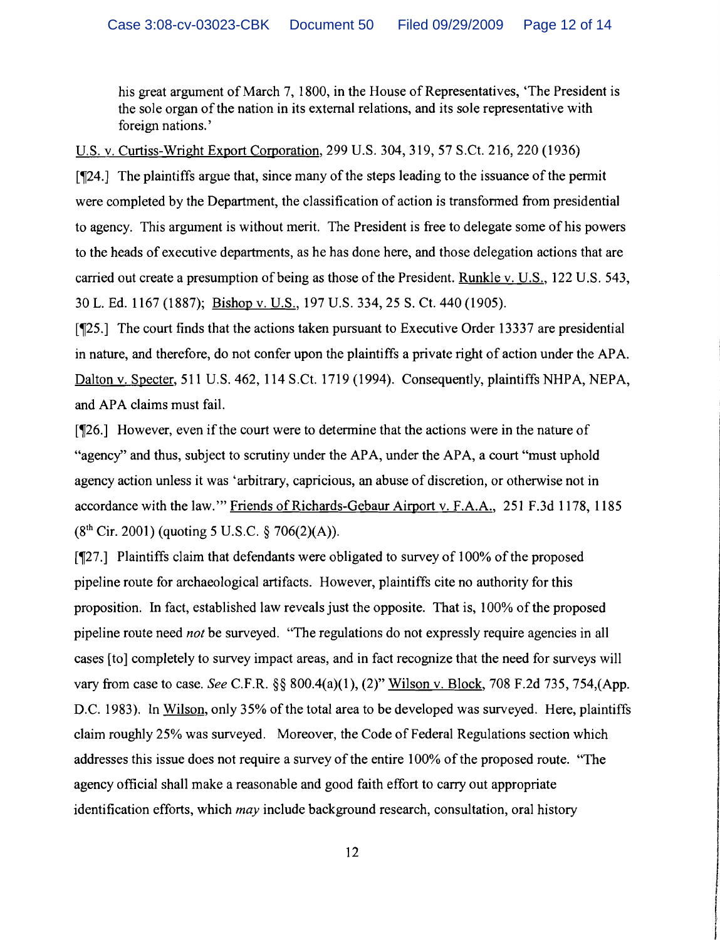his great argument of March 7, 1800, in the House of Representatives, 'The President is the sole organ of the nation in its external relations, and its sole representative with foreign nations. '

u.s. v. Curtiss-Wright Export Corporation, 299 U.S. 304,319,57 S.Ct. 216,220 (1936)

 $[\mathcal{T}24.]$  The plaintiffs argue that, since many of the steps leading to the issuance of the permit were completed by the Department, the classification of action is transformed from presidential to agency. This argument is without merit. The President is free to delegate some of his powers to the heads of executive departments, as he has done here, and those delegation actions that are carried out create a presumption of being as those of the President. Runkle v. U.S., 122 U.S. 543, 30 L. Ed. 1167 (1887); Bishop v. U.S., 197 U.S. 334,25 S. Ct. 440 (1905).

[~25.] The court finds that the actions taken pursuant to Executive Order 13337 are presidential in nature, and therefore, do not confer upon the plaintiffs a private right of action under the APA. Dalton v. Specter, 511 U.S. 462, 114 S.Ct. 1719 (1994). Consequently, plaintiffs NHPA, NEPA, and APA claims must fail.

[126.] However, even if the court were to determine that the actions were in the nature of "agency" and thus, subject to scrutiny under the APA, under the APA, a court "must uphold agency action unless it was 'arbitrary, capricious, an abuse of discretion, or otherwise not in accordance with the law.'" Friends of Richards-Gebaur Airport v. F.A.A., 251 F.3d 1178, 1185  $(8<sup>th</sup> Cir, 2001)$  (quoting 5 U.S.C. § 706(2)(A)).

[¶27.] Plaintiffs claim that defendants were obligated to survey of 100% of the proposed pipeline route for archaeological artifacts. However, plaintiffs cite no authority for this proposition. In fact, established law reveals just the opposite. That is, 100% of the proposed pipeline route need *not* be surveyed. "The regulations do not expressly require agencies in all cases [to] completely to survey impact areas, and in fact recognize that the need for surveys will vary from case to case. *See* C.F.R. §§ 800.4(a)(1), (2)" Wilson v. Block, 708 F.2d 735, 754,(App. D.C. 1983). In Wilson, only 35% of the total area to be developed was surveyed. Here, plaintiffs claim roughly 25% was surveyed. Moreover, the Code of Federal Regulations section which addresses this issue does not require a survey of the entire 100% of the proposed route. "The agency official shall make a reasonable and good faith effort to carry out appropriate identification efforts, which *may* include background research, consultation, oral history

**INTERNATIONAL PROPERTY AND INCOME.** 

**International Control** I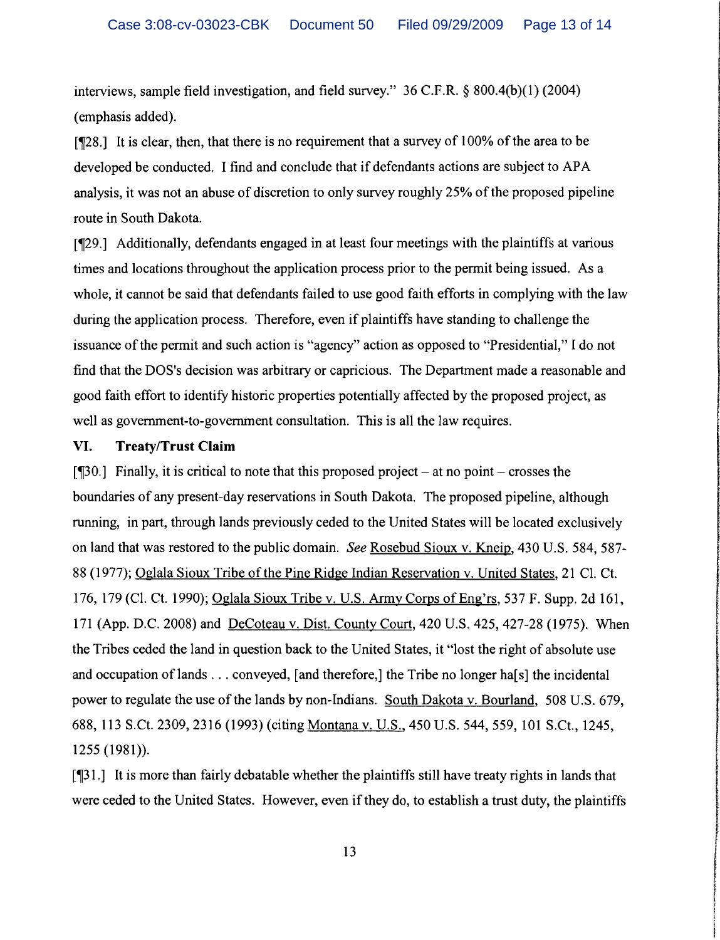interviews, sample field investigation, and field survey." 36 C.F.R. § 800.4(b)(1) (2004) (emphasis added).

 $\lceil \sqrt{28} \rceil$  It is clear, then, that there is no requirement that a survey of 100% of the area to be developed be conducted. I find and conclude that if defendants actions are subject to APA analysis, it was not an abuse of discretion to only survey roughly 25% of the proposed pipeline route in South Dakota.

['29.] Additionally, defendants engaged in at least four meetings with the plaintiffs at various times and locations throughout the application process prior to the permit being issued. As a whole, it cannot be said that defendants failed to use good faith efforts in complying with the law during the application process. Therefore, even if plaintiffs have standing to challenge the issuance of the permit and such action is "agency" action as opposed to "Presidential," I do not find that the DOS's decision was arbitrary or capricious. The Department made a reasonable and good faith effort to identify historic properties potentially affected by the proposed project, as well as government-to-government consultation. This is all the law requires.

#### **VI. Treaty/Trust Claim**

 $[\text{I}30.]$  Finally, it is critical to note that this proposed project – at no point – crosses the boundaries of any present-day reservations in South Dakota. The proposed pipeline, although running, in part, through lands previously ceded to the United States will be located exclusively on land that was restored to the public domain. *See* Rosebud Sioux v. Kneip, 430 U.S. 584,587 88 (1977); Oglala Sioux Tribe of the Pine Ridge Indian Reservation v. United States, 21 Cl. Ct. 11 The material contract of the pheno estimation of <u>states even in strong</u>, i.e. e.s. i.e., so,<br>88 (1977); <u>Oglala Sioux Tribe of the Pine Ridge Indian Reservation v. United States</u>, 21 Cl. Ct.<br>176, 179 (Cl. Ct. 1990); <u>O</u> 171 (App. D.C. 2008) and DeCoteau v. Dist. County Court, 420 U.S. 425, 427-28 (1975). When the Tribes ceded the land in question back to the United States, it "lost the right of absolute use I and occupation of lands ... conveyed, [and therefore,] the Tribe no longer has less incidental power to regulate the use of the lands by non-Indians. South Dakota v. Bourland, 508 U.S. 679, 688, 113 S.Ct. 2309, 2316 (1993) (citing <u>Montana v. U.S.</u>, 450 U.S. 544, 559, 101 S.Ct., 1245, 1255 (1981)).

['31.] It is more than fairly debatable whether the plaintiffs still have treaty rights in lands that were ceded to the United States. However, even if they do, to establish a trust duty, the plaintiffs , and an addressed that also are also below the surface of the surface of the surface of the surface of the su<br>The surface of the surface of the surface of the surface of the surface of the surface of the surface of the s **International Contemporary Conservation** 

in and a manufacturer of the contract of the contract of the contract of the contract of the contract of the c<br>In the contract of the contract of the contract of the contract of the contract of the contract of the contract